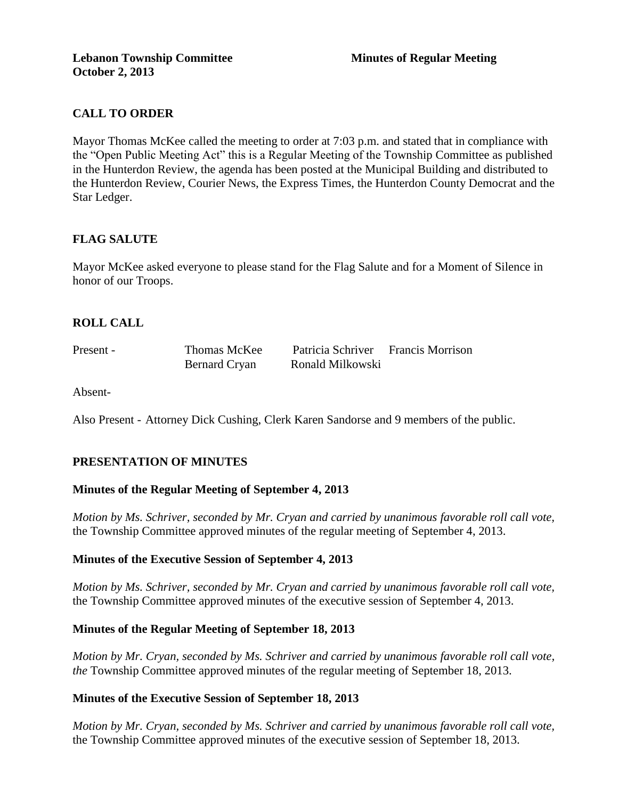# **CALL TO ORDER**

Mayor Thomas McKee called the meeting to order at 7:03 p.m. and stated that in compliance with the "Open Public Meeting Act" this is a Regular Meeting of the Township Committee as published in the Hunterdon Review, the agenda has been posted at the Municipal Building and distributed to the Hunterdon Review, Courier News, the Express Times, the Hunterdon County Democrat and the Star Ledger.

## **FLAG SALUTE**

Mayor McKee asked everyone to please stand for the Flag Salute and for a Moment of Silence in honor of our Troops.

### **ROLL CALL**

| Present - | Thomas McKee  | Patricia Schriver | <b>Francis Morrison</b> |
|-----------|---------------|-------------------|-------------------------|
|           | Bernard Cryan | Ronald Milkowski  |                         |

Absent-

Also Present - Attorney Dick Cushing, Clerk Karen Sandorse and 9 members of the public.

#### **PRESENTATION OF MINUTES**

#### **Minutes of the Regular Meeting of September 4, 2013**

*Motion by Ms. Schriver, seconded by Mr. Cryan and carried by unanimous favorable roll call vote,*  the Township Committee approved minutes of the regular meeting of September 4, 2013.

### **Minutes of the Executive Session of September 4, 2013**

*Motion by Ms. Schriver, seconded by Mr. Cryan and carried by unanimous favorable roll call vote,* the Township Committee approved minutes of the executive session of September 4, 2013.

#### **Minutes of the Regular Meeting of September 18, 2013**

*Motion by Mr. Cryan, seconded by Ms. Schriver and carried by unanimous favorable roll call vote, the* Township Committee approved minutes of the regular meeting of September 18, 2013.

#### **Minutes of the Executive Session of September 18, 2013**

*Motion by Mr. Cryan, seconded by Ms. Schriver and carried by unanimous favorable roll call vote,* the Township Committee approved minutes of the executive session of September 18, 2013.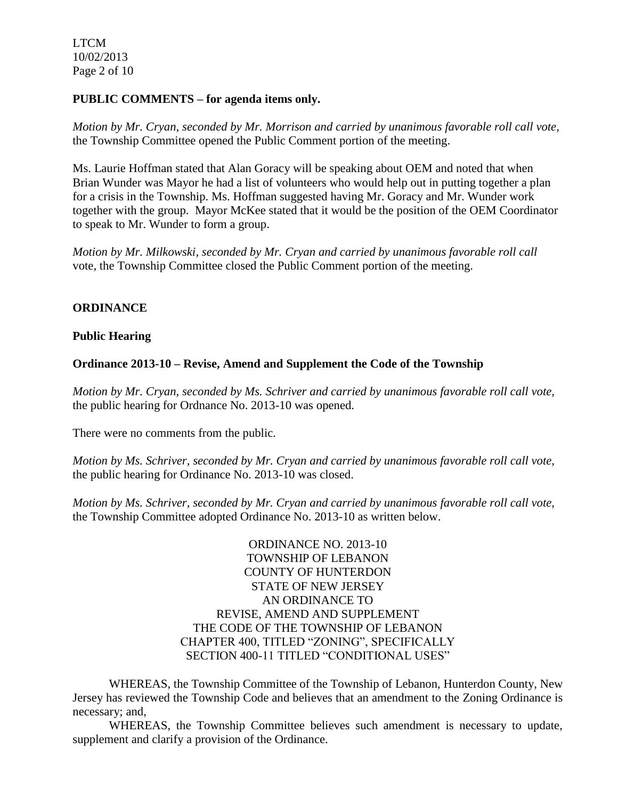LTCM 10/02/2013 Page 2 of 10

#### **PUBLIC COMMENTS – for agenda items only.**

*Motion by Mr. Cryan, seconded by Mr. Morrison and carried by unanimous favorable roll call vote,* the Township Committee opened the Public Comment portion of the meeting.

Ms. Laurie Hoffman stated that Alan Goracy will be speaking about OEM and noted that when Brian Wunder was Mayor he had a list of volunteers who would help out in putting together a plan for a crisis in the Township. Ms. Hoffman suggested having Mr. Goracy and Mr. Wunder work together with the group. Mayor McKee stated that it would be the position of the OEM Coordinator to speak to Mr. Wunder to form a group.

*Motion by Mr. Milkowski, seconded by Mr. Cryan and carried by unanimous favorable roll call*  vote, the Township Committee closed the Public Comment portion of the meeting.

#### **ORDINANCE**

#### **Public Hearing**

#### **Ordinance 2013-10 – Revise, Amend and Supplement the Code of the Township**

*Motion by Mr. Cryan, seconded by Ms. Schriver and carried by unanimous favorable roll call vote,* the public hearing for Ordnance No. 2013-10 was opened.

There were no comments from the public*.*

*Motion by Ms. Schriver, seconded by Mr. Cryan and carried by unanimous favorable roll call vote,* the public hearing for Ordinance No. 2013-10 was closed.

*Motion by Ms. Schriver, seconded by Mr. Cryan and carried by unanimous favorable roll call vote,*  the Township Committee adopted Ordinance No. 2013-10 as written below.

> ORDINANCE NO. 2013-10 TOWNSHIP OF LEBANON COUNTY OF HUNTERDON STATE OF NEW JERSEY AN ORDINANCE TO REVISE, AMEND AND SUPPLEMENT THE CODE OF THE TOWNSHIP OF LEBANON CHAPTER 400, TITLED "ZONING", SPECIFICALLY SECTION 400-11 TITLED "CONDITIONAL USES"

WHEREAS, the Township Committee of the Township of Lebanon, Hunterdon County, New Jersey has reviewed the Township Code and believes that an amendment to the Zoning Ordinance is necessary; and,

WHEREAS, the Township Committee believes such amendment is necessary to update, supplement and clarify a provision of the Ordinance.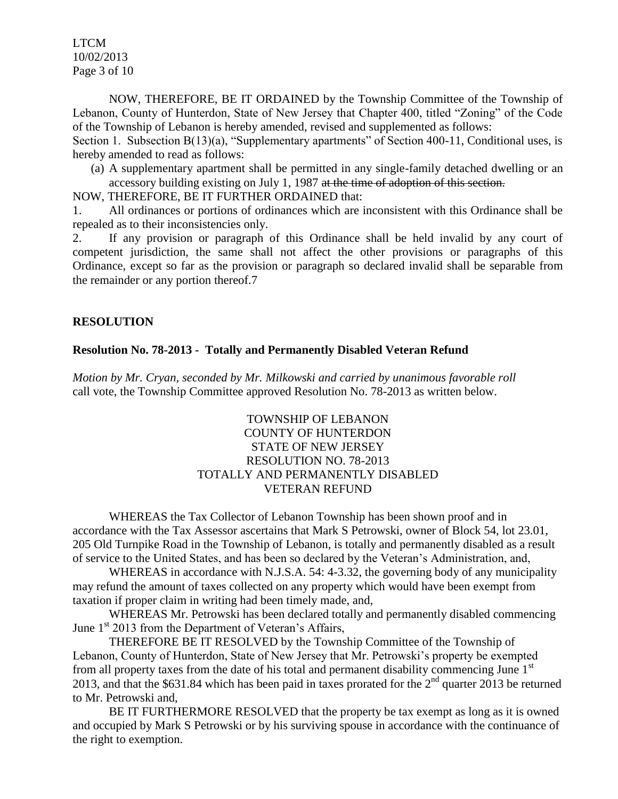LTCM 10/02/2013 Page 3 of 10

NOW, THEREFORE, BE IT ORDAINED by the Township Committee of the Township of Lebanon, County of Hunterdon, State of New Jersey that Chapter 400, titled "Zoning" of the Code of the Township of Lebanon is hereby amended, revised and supplemented as follows:

Section 1. Subsection B(13)(a), "Supplementary apartments" of Section 400-11, Conditional uses, is hereby amended to read as follows:

(a) A supplementary apartment shall be permitted in any single-family detached dwelling or an accessory building existing on July 1, 1987 at the time of adoption of this section.

NOW, THEREFORE, BE IT FURTHER ORDAINED that:

1. All ordinances or portions of ordinances which are inconsistent with this Ordinance shall be repealed as to their inconsistencies only.

2. If any provision or paragraph of this Ordinance shall be held invalid by any court of competent jurisdiction, the same shall not affect the other provisions or paragraphs of this Ordinance, except so far as the provision or paragraph so declared invalid shall be separable from the remainder or any portion thereof.7

### **RESOLUTION**

#### **Resolution No. 78-2013 - Totally and Permanently Disabled Veteran Refund**

*Motion by Mr. Cryan, seconded by Mr. Milkowski and carried by unanimous favorable roll*  call vote, the Township Committee approved Resolution No. 78-2013 as written below.

### TOWNSHIP OF LEBANON COUNTY OF HUNTERDON STATE OF NEW JERSEY RESOLUTION NO. 78-2013 TOTALLY AND PERMANENTLY DISABLED VETERAN REFUND

WHEREAS the Tax Collector of Lebanon Township has been shown proof and in accordance with the Tax Assessor ascertains that Mark S Petrowski, owner of Block 54, lot 23.01, 205 Old Turnpike Road in the Township of Lebanon, is totally and permanently disabled as a result of service to the United States, and has been so declared by the Veteran's Administration, and,

WHEREAS in accordance with N.J.S.A. 54: 4-3.32, the governing body of any municipality may refund the amount of taxes collected on any property which would have been exempt from taxation if proper claim in writing had been timely made, and,

WHEREAS Mr. Petrowski has been declared totally and permanently disabled commencing June  $1<sup>st</sup>$  2013 from the Department of Veteran's Affairs,

THEREFORE BE IT RESOLVED by the Township Committee of the Township of Lebanon, County of Hunterdon, State of New Jersey that Mr. Petrowski's property be exempted from all property taxes from the date of his total and permanent disability commencing June  $1<sup>st</sup>$ 2013, and that the \$631.84 which has been paid in taxes prorated for the  $2<sup>nd</sup>$  quarter 2013 be returned to Mr. Petrowski and,

BE IT FURTHERMORE RESOLVED that the property be tax exempt as long as it is owned and occupied by Mark S Petrowski or by his surviving spouse in accordance with the continuance of the right to exemption.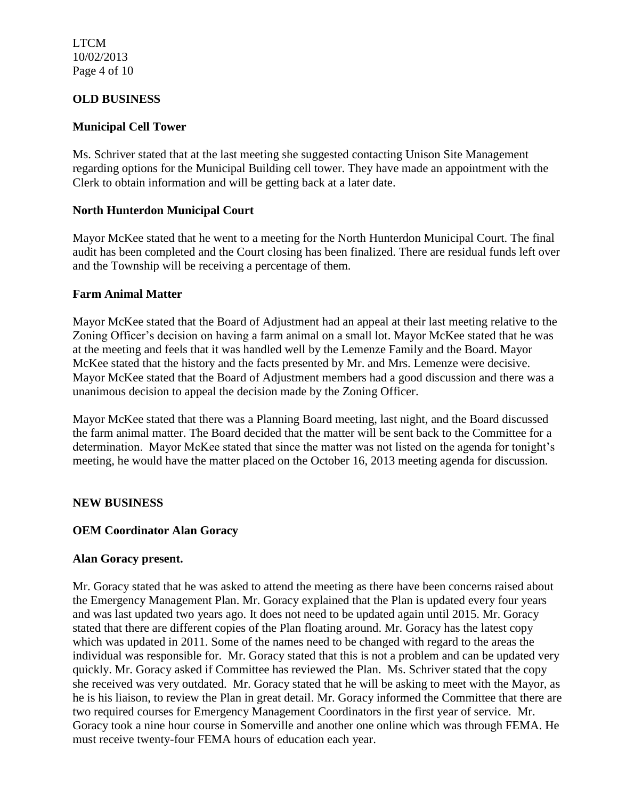LTCM 10/02/2013 Page 4 of 10

### **OLD BUSINESS**

### **Municipal Cell Tower**

Ms. Schriver stated that at the last meeting she suggested contacting Unison Site Management regarding options for the Municipal Building cell tower. They have made an appointment with the Clerk to obtain information and will be getting back at a later date.

#### **North Hunterdon Municipal Court**

Mayor McKee stated that he went to a meeting for the North Hunterdon Municipal Court. The final audit has been completed and the Court closing has been finalized. There are residual funds left over and the Township will be receiving a percentage of them.

#### **Farm Animal Matter**

Mayor McKee stated that the Board of Adjustment had an appeal at their last meeting relative to the Zoning Officer's decision on having a farm animal on a small lot. Mayor McKee stated that he was at the meeting and feels that it was handled well by the Lemenze Family and the Board. Mayor McKee stated that the history and the facts presented by Mr. and Mrs. Lemenze were decisive. Mayor McKee stated that the Board of Adjustment members had a good discussion and there was a unanimous decision to appeal the decision made by the Zoning Officer.

Mayor McKee stated that there was a Planning Board meeting, last night, and the Board discussed the farm animal matter. The Board decided that the matter will be sent back to the Committee for a determination. Mayor McKee stated that since the matter was not listed on the agenda for tonight's meeting, he would have the matter placed on the October 16, 2013 meeting agenda for discussion.

#### **NEW BUSINESS**

#### **OEM Coordinator Alan Goracy**

#### **Alan Goracy present.**

Mr. Goracy stated that he was asked to attend the meeting as there have been concerns raised about the Emergency Management Plan. Mr. Goracy explained that the Plan is updated every four years and was last updated two years ago. It does not need to be updated again until 2015. Mr. Goracy stated that there are different copies of the Plan floating around. Mr. Goracy has the latest copy which was updated in 2011. Some of the names need to be changed with regard to the areas the individual was responsible for. Mr. Goracy stated that this is not a problem and can be updated very quickly. Mr. Goracy asked if Committee has reviewed the Plan. Ms. Schriver stated that the copy she received was very outdated. Mr. Goracy stated that he will be asking to meet with the Mayor, as he is his liaison, to review the Plan in great detail. Mr. Goracy informed the Committee that there are two required courses for Emergency Management Coordinators in the first year of service. Mr. Goracy took a nine hour course in Somerville and another one online which was through FEMA. He must receive twenty-four FEMA hours of education each year.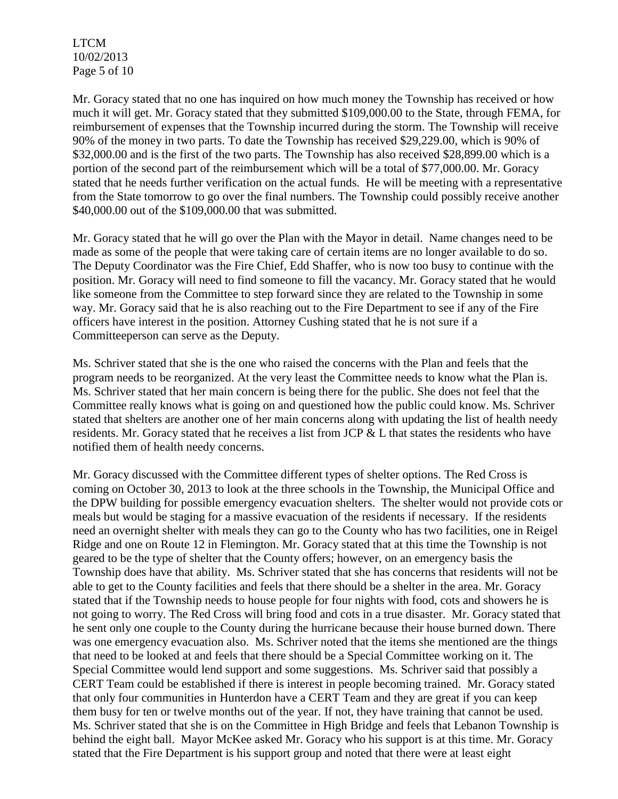LTCM 10/02/2013 Page 5 of 10

Mr. Goracy stated that no one has inquired on how much money the Township has received or how much it will get. Mr. Goracy stated that they submitted \$109,000.00 to the State, through FEMA, for reimbursement of expenses that the Township incurred during the storm. The Township will receive 90% of the money in two parts. To date the Township has received \$29,229.00, which is 90% of \$32,000.00 and is the first of the two parts. The Township has also received \$28,899.00 which is a portion of the second part of the reimbursement which will be a total of \$77,000.00. Mr. Goracy stated that he needs further verification on the actual funds. He will be meeting with a representative from the State tomorrow to go over the final numbers. The Township could possibly receive another \$40,000.00 out of the \$109,000.00 that was submitted.

Mr. Goracy stated that he will go over the Plan with the Mayor in detail. Name changes need to be made as some of the people that were taking care of certain items are no longer available to do so. The Deputy Coordinator was the Fire Chief, Edd Shaffer, who is now too busy to continue with the position. Mr. Goracy will need to find someone to fill the vacancy. Mr. Goracy stated that he would like someone from the Committee to step forward since they are related to the Township in some way. Mr. Goracy said that he is also reaching out to the Fire Department to see if any of the Fire officers have interest in the position. Attorney Cushing stated that he is not sure if a Committeeperson can serve as the Deputy.

Ms. Schriver stated that she is the one who raised the concerns with the Plan and feels that the program needs to be reorganized. At the very least the Committee needs to know what the Plan is. Ms. Schriver stated that her main concern is being there for the public. She does not feel that the Committee really knows what is going on and questioned how the public could know. Ms. Schriver stated that shelters are another one of her main concerns along with updating the list of health needy residents. Mr. Goracy stated that he receives a list from JCP & L that states the residents who have notified them of health needy concerns.

Mr. Goracy discussed with the Committee different types of shelter options. The Red Cross is coming on October 30, 2013 to look at the three schools in the Township, the Municipal Office and the DPW building for possible emergency evacuation shelters. The shelter would not provide cots or meals but would be staging for a massive evacuation of the residents if necessary. If the residents need an overnight shelter with meals they can go to the County who has two facilities, one in Reigel Ridge and one on Route 12 in Flemington. Mr. Goracy stated that at this time the Township is not geared to be the type of shelter that the County offers; however, on an emergency basis the Township does have that ability. Ms. Schriver stated that she has concerns that residents will not be able to get to the County facilities and feels that there should be a shelter in the area. Mr. Goracy stated that if the Township needs to house people for four nights with food, cots and showers he is not going to worry. The Red Cross will bring food and cots in a true disaster. Mr. Goracy stated that he sent only one couple to the County during the hurricane because their house burned down. There was one emergency evacuation also. Ms. Schriver noted that the items she mentioned are the things that need to be looked at and feels that there should be a Special Committee working on it. The Special Committee would lend support and some suggestions. Ms. Schriver said that possibly a CERT Team could be established if there is interest in people becoming trained. Mr. Goracy stated that only four communities in Hunterdon have a CERT Team and they are great if you can keep them busy for ten or twelve months out of the year. If not, they have training that cannot be used. Ms. Schriver stated that she is on the Committee in High Bridge and feels that Lebanon Township is behind the eight ball. Mayor McKee asked Mr. Goracy who his support is at this time. Mr. Goracy stated that the Fire Department is his support group and noted that there were at least eight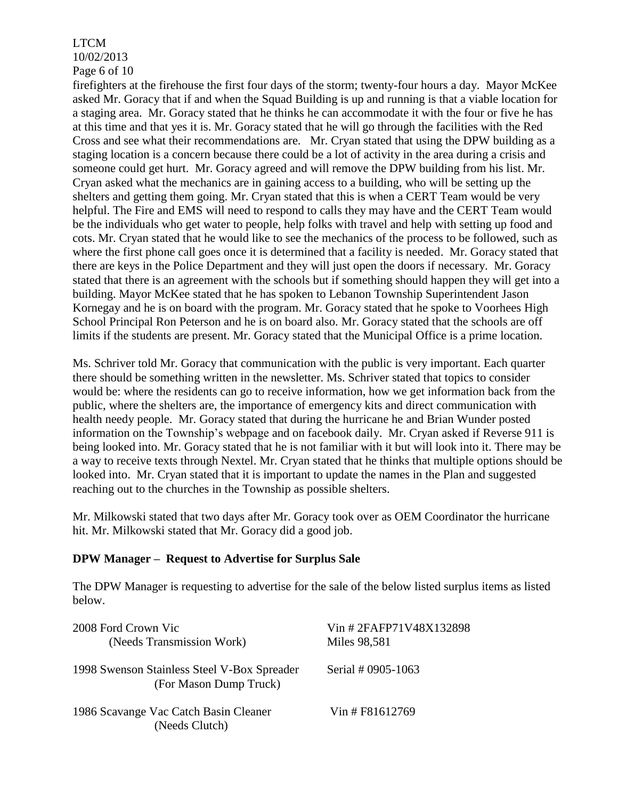#### LTCM 10/02/2013 Page 6 of 10

firefighters at the firehouse the first four days of the storm; twenty-four hours a day. Mayor McKee asked Mr. Goracy that if and when the Squad Building is up and running is that a viable location for a staging area. Mr. Goracy stated that he thinks he can accommodate it with the four or five he has at this time and that yes it is. Mr. Goracy stated that he will go through the facilities with the Red Cross and see what their recommendations are. Mr. Cryan stated that using the DPW building as a staging location is a concern because there could be a lot of activity in the area during a crisis and someone could get hurt. Mr. Goracy agreed and will remove the DPW building from his list. Mr. Cryan asked what the mechanics are in gaining access to a building, who will be setting up the shelters and getting them going. Mr. Cryan stated that this is when a CERT Team would be very helpful. The Fire and EMS will need to respond to calls they may have and the CERT Team would be the individuals who get water to people, help folks with travel and help with setting up food and cots. Mr. Cryan stated that he would like to see the mechanics of the process to be followed, such as where the first phone call goes once it is determined that a facility is needed. Mr. Goracy stated that there are keys in the Police Department and they will just open the doors if necessary. Mr. Goracy stated that there is an agreement with the schools but if something should happen they will get into a building. Mayor McKee stated that he has spoken to Lebanon Township Superintendent Jason Kornegay and he is on board with the program. Mr. Goracy stated that he spoke to Voorhees High School Principal Ron Peterson and he is on board also. Mr. Goracy stated that the schools are off limits if the students are present. Mr. Goracy stated that the Municipal Office is a prime location.

Ms. Schriver told Mr. Goracy that communication with the public is very important. Each quarter there should be something written in the newsletter. Ms. Schriver stated that topics to consider would be: where the residents can go to receive information, how we get information back from the public, where the shelters are, the importance of emergency kits and direct communication with health needy people. Mr. Goracy stated that during the hurricane he and Brian Wunder posted information on the Township's webpage and on facebook daily. Mr. Cryan asked if Reverse 911 is being looked into. Mr. Goracy stated that he is not familiar with it but will look into it. There may be a way to receive texts through Nextel. Mr. Cryan stated that he thinks that multiple options should be looked into. Mr. Cryan stated that it is important to update the names in the Plan and suggested reaching out to the churches in the Township as possible shelters.

Mr. Milkowski stated that two days after Mr. Goracy took over as OEM Coordinator the hurricane hit. Mr. Milkowski stated that Mr. Goracy did a good job.

#### **DPW Manager – Request to Advertise for Surplus Sale**

The DPW Manager is requesting to advertise for the sale of the below listed surplus items as listed below.

| 2008 Ford Crown Vic<br>(Needs Transmission Work)                      | Vin #2FAFP71V48X132898<br>Miles 98,581 |  |
|-----------------------------------------------------------------------|----------------------------------------|--|
| 1998 Swenson Stainless Steel V-Box Spreader<br>(For Mason Dump Truck) | Serial # 0905-1063                     |  |
| 1986 Scavange Vac Catch Basin Cleaner<br>(Needs Clutch)               | Vin # F81612769                        |  |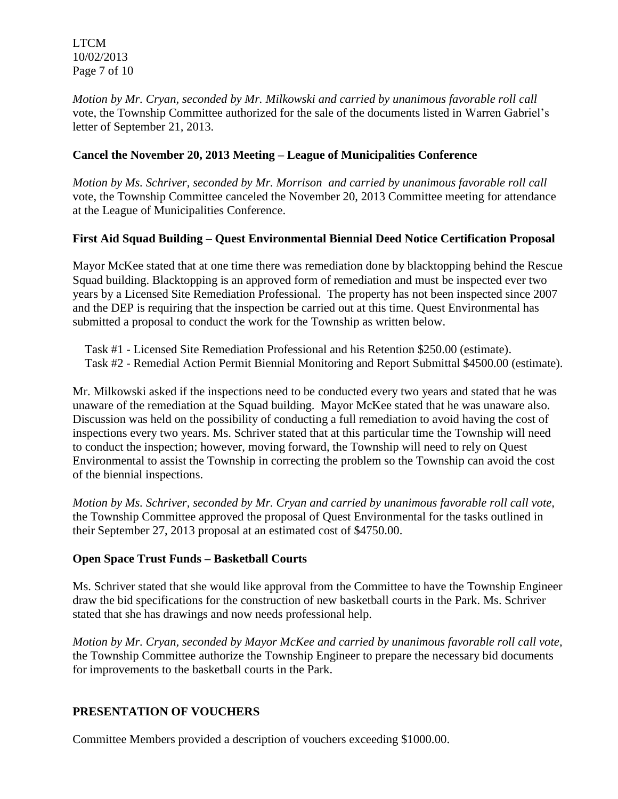LTCM 10/02/2013 Page 7 of 10

*Motion by Mr. Cryan, seconded by Mr. Milkowski and carried by unanimous favorable roll call*  vote, the Township Committee authorized for the sale of the documents listed in Warren Gabriel's letter of September 21, 2013.

## **Cancel the November 20, 2013 Meeting – League of Municipalities Conference**

*Motion by Ms. Schriver, seconded by Mr. Morrison and carried by unanimous favorable roll call*  vote, the Township Committee canceled the November 20, 2013 Committee meeting for attendance at the League of Municipalities Conference.

# **First Aid Squad Building – Quest Environmental Biennial Deed Notice Certification Proposal**

Mayor McKee stated that at one time there was remediation done by blacktopping behind the Rescue Squad building. Blacktopping is an approved form of remediation and must be inspected ever two years by a Licensed Site Remediation Professional. The property has not been inspected since 2007 and the DEP is requiring that the inspection be carried out at this time. Quest Environmental has submitted a proposal to conduct the work for the Township as written below.

 Task #1 - Licensed Site Remediation Professional and his Retention \$250.00 (estimate). Task #2 - Remedial Action Permit Biennial Monitoring and Report Submittal \$4500.00 (estimate).

Mr. Milkowski asked if the inspections need to be conducted every two years and stated that he was unaware of the remediation at the Squad building. Mayor McKee stated that he was unaware also. Discussion was held on the possibility of conducting a full remediation to avoid having the cost of inspections every two years. Ms. Schriver stated that at this particular time the Township will need to conduct the inspection; however, moving forward, the Township will need to rely on Quest Environmental to assist the Township in correcting the problem so the Township can avoid the cost of the biennial inspections.

*Motion by Ms. Schriver, seconded by Mr. Cryan and carried by unanimous favorable roll call vote,* the Township Committee approved the proposal of Quest Environmental for the tasks outlined in their September 27, 2013 proposal at an estimated cost of \$4750.00.

## **Open Space Trust Funds – Basketball Courts**

Ms. Schriver stated that she would like approval from the Committee to have the Township Engineer draw the bid specifications for the construction of new basketball courts in the Park. Ms. Schriver stated that she has drawings and now needs professional help.

*Motion by Mr. Cryan, seconded by Mayor McKee and carried by unanimous favorable roll call vote,* the Township Committee authorize the Township Engineer to prepare the necessary bid documents for improvements to the basketball courts in the Park.

## **PRESENTATION OF VOUCHERS**

Committee Members provided a description of vouchers exceeding \$1000.00.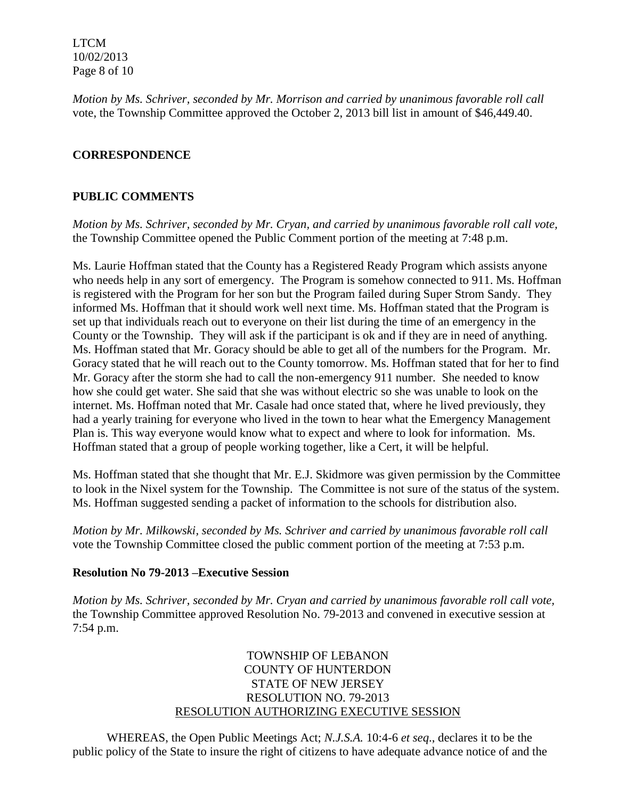LTCM 10/02/2013 Page 8 of 10

*Motion by Ms. Schriver, seconded by Mr. Morrison and carried by unanimous favorable roll call*  vote, the Township Committee approved the October 2, 2013 bill list in amount of \$46,449.40.

## **CORRESPONDENCE**

### **PUBLIC COMMENTS**

*Motion by Ms. Schriver, seconded by Mr. Cryan, and carried by unanimous favorable roll call vote,* the Township Committee opened the Public Comment portion of the meeting at 7:48 p.m.

Ms. Laurie Hoffman stated that the County has a Registered Ready Program which assists anyone who needs help in any sort of emergency. The Program is somehow connected to 911. Ms. Hoffman is registered with the Program for her son but the Program failed during Super Strom Sandy. They informed Ms. Hoffman that it should work well next time. Ms. Hoffman stated that the Program is set up that individuals reach out to everyone on their list during the time of an emergency in the County or the Township. They will ask if the participant is ok and if they are in need of anything. Ms. Hoffman stated that Mr. Goracy should be able to get all of the numbers for the Program. Mr. Goracy stated that he will reach out to the County tomorrow. Ms. Hoffman stated that for her to find Mr. Goracy after the storm she had to call the non-emergency 911 number. She needed to know how she could get water. She said that she was without electric so she was unable to look on the internet. Ms. Hoffman noted that Mr. Casale had once stated that, where he lived previously, they had a yearly training for everyone who lived in the town to hear what the Emergency Management Plan is. This way everyone would know what to expect and where to look for information. Ms. Hoffman stated that a group of people working together, like a Cert, it will be helpful.

Ms. Hoffman stated that she thought that Mr. E.J. Skidmore was given permission by the Committee to look in the Nixel system for the Township. The Committee is not sure of the status of the system. Ms. Hoffman suggested sending a packet of information to the schools for distribution also.

*Motion by Mr. Milkowski, seconded by Ms. Schriver and carried by unanimous favorable roll call*  vote the Township Committee closed the public comment portion of the meeting at 7:53 p.m.

### **Resolution No 79-2013 –Executive Session**

*Motion by Ms. Schriver, seconded by Mr. Cryan and carried by unanimous favorable roll call vote,* the Township Committee approved Resolution No. 79-2013 and convened in executive session at 7:54 p.m.

## TOWNSHIP OF LEBANON COUNTY OF HUNTERDON STATE OF NEW JERSEY RESOLUTION NO. 79-2013 RESOLUTION AUTHORIZING EXECUTIVE SESSION

WHEREAS, the Open Public Meetings Act; *N.J.S.A.* 10:4-6 *et seq*., declares it to be the public policy of the State to insure the right of citizens to have adequate advance notice of and the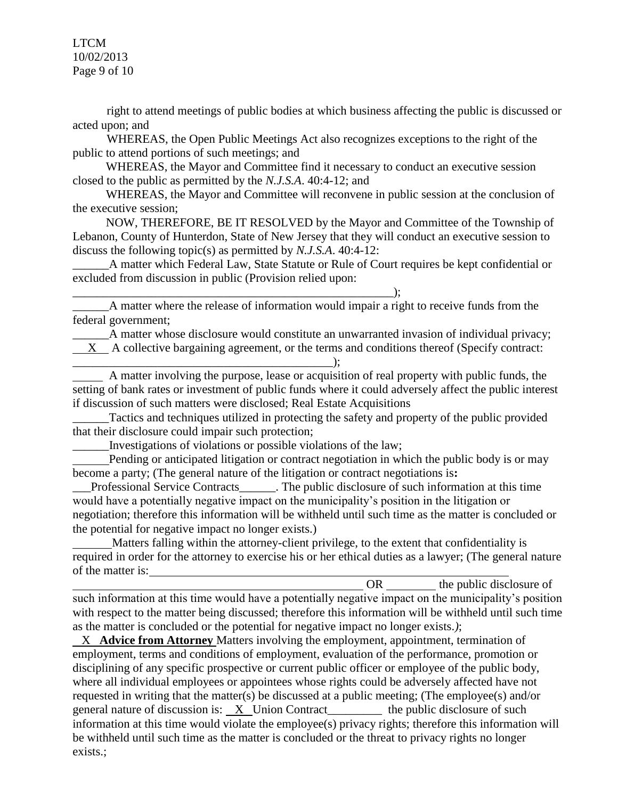LTCM 10/02/2013 Page 9 of 10

right to attend meetings of public bodies at which business affecting the public is discussed or acted upon; and

WHEREAS, the Open Public Meetings Act also recognizes exceptions to the right of the public to attend portions of such meetings; and

 WHEREAS, the Mayor and Committee find it necessary to conduct an executive session closed to the public as permitted by the *N.J.S.A*. 40:4-12; and

 WHEREAS, the Mayor and Committee will reconvene in public session at the conclusion of the executive session;

 NOW, THEREFORE, BE IT RESOLVED by the Mayor and Committee of the Township of Lebanon, County of Hunterdon, State of New Jersey that they will conduct an executive session to discuss the following topic(s) as permitted by *N.J.S.A*. 40:4-12:

\_\_\_\_\_\_A matter which Federal Law, State Statute or Rule of Court requires be kept confidential or excluded from discussion in public (Provision relied upon:

\_\_\_\_\_\_A matter where the release of information would impair a right to receive funds from the federal government;

\_\_\_\_\_\_A matter whose disclosure would constitute an unwarranted invasion of individual privacy;

X A collective bargaining agreement, or the terms and conditions thereof (Specify contract: \_\_\_\_\_\_\_\_\_\_\_\_\_\_\_\_\_\_\_\_\_\_\_\_\_\_\_\_\_\_\_\_\_\_\_\_\_\_\_\_\_\_\_);

 A matter involving the purpose, lease or acquisition of real property with public funds, the setting of bank rates or investment of public funds where it could adversely affect the public interest if discussion of such matters were disclosed; Real Estate Acquisitions

Tactics and techniques utilized in protecting the safety and property of the public provided that their disclosure could impair such protection;

\_\_\_\_\_\_Investigations of violations or possible violations of the law;

 $\qquad \qquad ; \qquad$ 

 Pending or anticipated litigation or contract negotiation in which the public body is or may become a party; (The general nature of the litigation or contract negotiations is**:**

Professional Service Contracts\_\_\_\_\_\_. The public disclosure of such information at this time would have a potentially negative impact on the municipality's position in the litigation or negotiation; therefore this information will be withheld until such time as the matter is concluded or the potential for negative impact no longer exists.)

 Matters falling within the attorney-client privilege, to the extent that confidentiality is required in order for the attorney to exercise his or her ethical duties as a lawyer; (The general nature of the matter is:

OR the public disclosure of such information at this time would have a potentially negative impact on the municipality's position with respect to the matter being discussed; therefore this information will be withheld until such time as the matter is concluded or the potential for negative impact no longer exists.*)*;

 X **Advice from Attorney** Matters involving the employment, appointment, termination of employment, terms and conditions of employment, evaluation of the performance, promotion or disciplining of any specific prospective or current public officer or employee of the public body, where all individual employees or appointees whose rights could be adversely affected have not requested in writing that the matter(s) be discussed at a public meeting; (The employee(s) and/or general nature of discussion is: X Union Contract\_\_\_\_\_\_\_\_\_ the public disclosure of such information at this time would violate the employee(s) privacy rights; therefore this information will be withheld until such time as the matter is concluded or the threat to privacy rights no longer exists.;